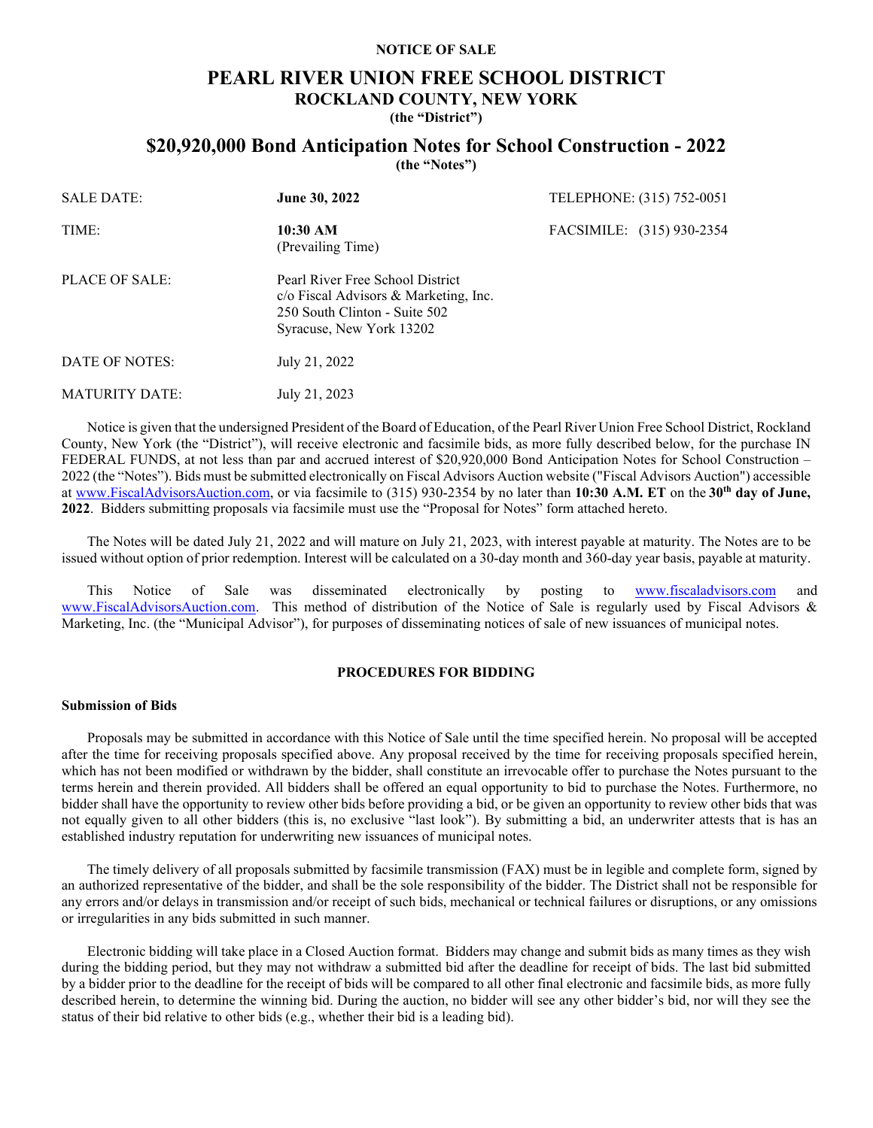# **NOTICE OF SALE**

# **PEARL RIVER UNION FREE SCHOOL DISTRICT ROCKLAND COUNTY, NEW YORK (the "District")**

# **\$20,920,000 Bond Anticipation Notes for School Construction - 2022**

**(the "Notes")**

| <b>SALE DATE:</b> | <b>June 30, 2022</b>                                                                                                                   | TELEPHONE: (315) 752-0051 |
|-------------------|----------------------------------------------------------------------------------------------------------------------------------------|---------------------------|
| TIME:             | 10:30 AM<br>(Prevailing Time)                                                                                                          | FACSIMILE: (315) 930-2354 |
| PLACE OF SALE:    | Pearl River Free School District<br>c/o Fiscal Advisors & Marketing, Inc.<br>250 South Clinton - Suite 502<br>Syracuse, New York 13202 |                           |
| DATE OF NOTES:    | July 21, 2022                                                                                                                          |                           |

Notice is given that the undersigned President of the Board of Education, of the Pearl River Union Free School District, Rockland County, New York (the "District"), will receive electronic and facsimile bids, as more fully described below, for the purchase IN FEDERAL FUNDS, at not less than par and accrued interest of \$20,920,000 Bond Anticipation Notes for School Construction – 2022 (the "Notes"). Bids must be submitted electronically on Fiscal Advisors Auction website ("Fiscal Advisors Auction") accessible at [www.FiscalAdvisorsAuction.com,](http://www.fiscaladvisorsauction.com/) or via facsimile to (315) 930-2354 by no later than **10:30 A.M. ET** on the **30th day of June, 2022**. Bidders submitting proposals via facsimile must use the "Proposal for Notes" form attached hereto.

The Notes will be dated July 21, 2022 and will mature on July 21, 2023, with interest payable at maturity. The Notes are to be issued without option of prior redemption. Interest will be calculated on a 30-day month and 360-day year basis, payable at maturity.

This Notice of Sale was disseminated electronically by posting to [www.fiscaladvisors.com](http://www.fiscaladvisors.com/) and [www.FiscalAdvisorsAuction.com.](http://www.fiscaladvisorsauction.com/) This method of distribution of the Notice of Sale is regularly used by Fiscal Advisors & Marketing, Inc. (the "Municipal Advisor"), for purposes of disseminating notices of sale of new issuances of municipal notes.

### **PROCEDURES FOR BIDDING**

### **Submission of Bids**

MATURITY DATE: July 21, 2023

Proposals may be submitted in accordance with this Notice of Sale until the time specified herein. No proposal will be accepted after the time for receiving proposals specified above. Any proposal received by the time for receiving proposals specified herein, which has not been modified or withdrawn by the bidder, shall constitute an irrevocable offer to purchase the Notes pursuant to the terms herein and therein provided. All bidders shall be offered an equal opportunity to bid to purchase the Notes. Furthermore, no bidder shall have the opportunity to review other bids before providing a bid, or be given an opportunity to review other bids that was not equally given to all other bidders (this is, no exclusive "last look"). By submitting a bid, an underwriter attests that is has an established industry reputation for underwriting new issuances of municipal notes.

The timely delivery of all proposals submitted by facsimile transmission (FAX) must be in legible and complete form, signed by an authorized representative of the bidder, and shall be the sole responsibility of the bidder. The District shall not be responsible for any errors and/or delays in transmission and/or receipt of such bids, mechanical or technical failures or disruptions, or any omissions or irregularities in any bids submitted in such manner.

Electronic bidding will take place in a Closed Auction format. Bidders may change and submit bids as many times as they wish during the bidding period, but they may not withdraw a submitted bid after the deadline for receipt of bids. The last bid submitted by a bidder prior to the deadline for the receipt of bids will be compared to all other final electronic and facsimile bids, as more fully described herein, to determine the winning bid. During the auction, no bidder will see any other bidder's bid, nor will they see the status of their bid relative to other bids (e.g., whether their bid is a leading bid).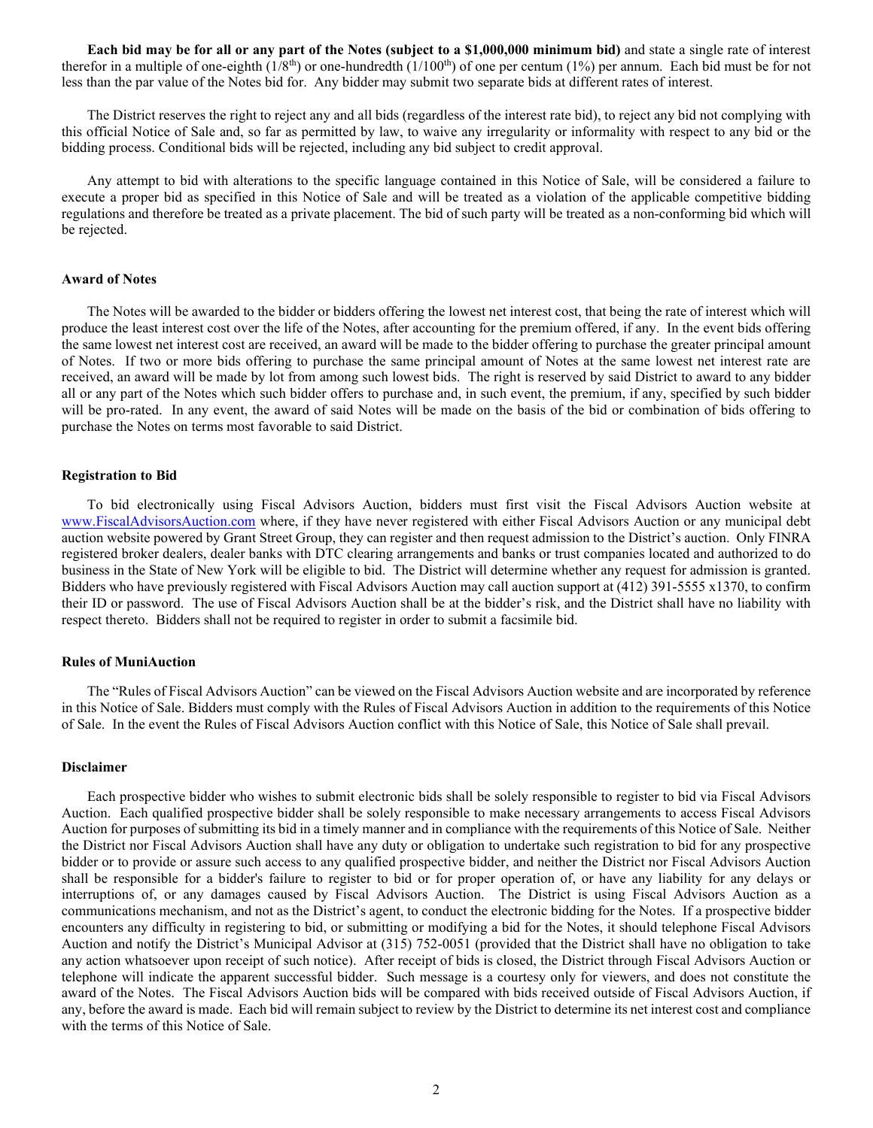**Each bid may be for all or any part of the Notes (subject to a \$1,000,000 minimum bid)** and state a single rate of interest therefor in a multiple of one-eighth  $(1/8<sup>th</sup>)$  or one-hundredth  $(1/100<sup>th</sup>)$  of one per centum  $(1%)$  per annum. Each bid must be for not less than the par value of the Notes bid for. Any bidder may submit two separate bids at different rates of interest.

The District reserves the right to reject any and all bids (regardless of the interest rate bid), to reject any bid not complying with this official Notice of Sale and, so far as permitted by law, to waive any irregularity or informality with respect to any bid or the bidding process. Conditional bids will be rejected, including any bid subject to credit approval.

Any attempt to bid with alterations to the specific language contained in this Notice of Sale, will be considered a failure to execute a proper bid as specified in this Notice of Sale and will be treated as a violation of the applicable competitive bidding regulations and therefore be treated as a private placement. The bid of such party will be treated as a non-conforming bid which will be rejected.

# **Award of Notes**

The Notes will be awarded to the bidder or bidders offering the lowest net interest cost, that being the rate of interest which will produce the least interest cost over the life of the Notes, after accounting for the premium offered, if any. In the event bids offering the same lowest net interest cost are received, an award will be made to the bidder offering to purchase the greater principal amount of Notes. If two or more bids offering to purchase the same principal amount of Notes at the same lowest net interest rate are received, an award will be made by lot from among such lowest bids. The right is reserved by said District to award to any bidder all or any part of the Notes which such bidder offers to purchase and, in such event, the premium, if any, specified by such bidder will be pro-rated. In any event, the award of said Notes will be made on the basis of the bid or combination of bids offering to purchase the Notes on terms most favorable to said District.

# **Registration to Bid**

To bid electronically using Fiscal Advisors Auction, bidders must first visit the Fiscal Advisors Auction website at [www.FiscalAdvisorsAuction.com](http://www.fiscaladvisorsauction.com/) where, if they have never registered with either Fiscal Advisors Auction or any municipal debt auction website powered by Grant Street Group, they can register and then request admission to the District's auction. Only FINRA registered broker dealers, dealer banks with DTC clearing arrangements and banks or trust companies located and authorized to do business in the State of New York will be eligible to bid. The District will determine whether any request for admission is granted. Bidders who have previously registered with Fiscal Advisors Auction may call auction support at (412) 391-5555 x1370, to confirm their ID or password. The use of Fiscal Advisors Auction shall be at the bidder's risk, and the District shall have no liability with respect thereto. Bidders shall not be required to register in order to submit a facsimile bid.

### **Rules of MuniAuction**

The "Rules of Fiscal Advisors Auction" can be viewed on the Fiscal Advisors Auction website and are incorporated by reference in this Notice of Sale. Bidders must comply with the Rules of Fiscal Advisors Auction in addition to the requirements of this Notice of Sale. In the event the Rules of Fiscal Advisors Auction conflict with this Notice of Sale, this Notice of Sale shall prevail.

#### **Disclaimer**

Each prospective bidder who wishes to submit electronic bids shall be solely responsible to register to bid via Fiscal Advisors Auction. Each qualified prospective bidder shall be solely responsible to make necessary arrangements to access Fiscal Advisors Auction for purposes of submitting its bid in a timely manner and in compliance with the requirements of this Notice of Sale. Neither the District nor Fiscal Advisors Auction shall have any duty or obligation to undertake such registration to bid for any prospective bidder or to provide or assure such access to any qualified prospective bidder, and neither the District nor Fiscal Advisors Auction shall be responsible for a bidder's failure to register to bid or for proper operation of, or have any liability for any delays or interruptions of, or any damages caused by Fiscal Advisors Auction. The District is using Fiscal Advisors Auction as a communications mechanism, and not as the District's agent, to conduct the electronic bidding for the Notes. If a prospective bidder encounters any difficulty in registering to bid, or submitting or modifying a bid for the Notes, it should telephone Fiscal Advisors Auction and notify the District's Municipal Advisor at (315) 752-0051 (provided that the District shall have no obligation to take any action whatsoever upon receipt of such notice). After receipt of bids is closed, the District through Fiscal Advisors Auction or telephone will indicate the apparent successful bidder. Such message is a courtesy only for viewers, and does not constitute the award of the Notes. The Fiscal Advisors Auction bids will be compared with bids received outside of Fiscal Advisors Auction, if any, before the award is made. Each bid will remain subject to review by the District to determine its net interest cost and compliance with the terms of this Notice of Sale.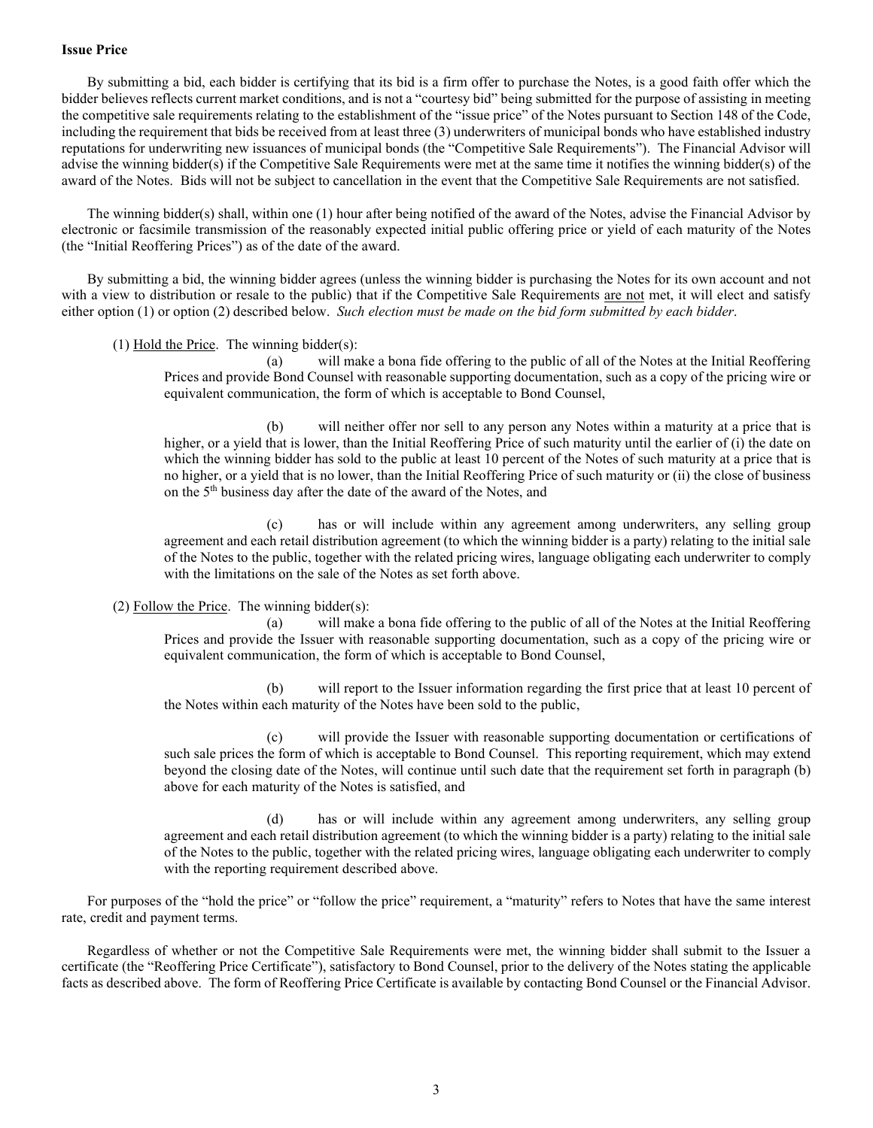# **Issue Price**

By submitting a bid, each bidder is certifying that its bid is a firm offer to purchase the Notes, is a good faith offer which the bidder believes reflects current market conditions, and is not a "courtesy bid" being submitted for the purpose of assisting in meeting the competitive sale requirements relating to the establishment of the "issue price" of the Notes pursuant to Section 148 of the Code, including the requirement that bids be received from at least three (3) underwriters of municipal bonds who have established industry reputations for underwriting new issuances of municipal bonds (the "Competitive Sale Requirements"). The Financial Advisor will advise the winning bidder(s) if the Competitive Sale Requirements were met at the same time it notifies the winning bidder(s) of the award of the Notes. Bids will not be subject to cancellation in the event that the Competitive Sale Requirements are not satisfied.

The winning bidder(s) shall, within one (1) hour after being notified of the award of the Notes, advise the Financial Advisor by electronic or facsimile transmission of the reasonably expected initial public offering price or yield of each maturity of the Notes (the "Initial Reoffering Prices") as of the date of the award.

By submitting a bid, the winning bidder agrees (unless the winning bidder is purchasing the Notes for its own account and not with a view to distribution or resale to the public) that if the Competitive Sale Requirements are not met, it will elect and satisfy either option (1) or option (2) described below. *Such election must be made on the bid form submitted by each bidder*.

# (1) Hold the Price. The winning bidder(s):

(a) will make a bona fide offering to the public of all of the Notes at the Initial Reoffering Prices and provide Bond Counsel with reasonable supporting documentation, such as a copy of the pricing wire or equivalent communication, the form of which is acceptable to Bond Counsel,

(b) will neither offer nor sell to any person any Notes within a maturity at a price that is higher, or a yield that is lower, than the Initial Reoffering Price of such maturity until the earlier of (i) the date on which the winning bidder has sold to the public at least 10 percent of the Notes of such maturity at a price that is no higher, or a yield that is no lower, than the Initial Reoffering Price of such maturity or (ii) the close of business on the 5th business day after the date of the award of the Notes, and

(c) has or will include within any agreement among underwriters, any selling group agreement and each retail distribution agreement (to which the winning bidder is a party) relating to the initial sale of the Notes to the public, together with the related pricing wires, language obligating each underwriter to comply with the limitations on the sale of the Notes as set forth above.

# (2) Follow the Price. The winning bidder $(s)$ :

(a) will make a bona fide offering to the public of all of the Notes at the Initial Reoffering Prices and provide the Issuer with reasonable supporting documentation, such as a copy of the pricing wire or equivalent communication, the form of which is acceptable to Bond Counsel,

(b) will report to the Issuer information regarding the first price that at least 10 percent of the Notes within each maturity of the Notes have been sold to the public,

(c) will provide the Issuer with reasonable supporting documentation or certifications of such sale prices the form of which is acceptable to Bond Counsel. This reporting requirement, which may extend beyond the closing date of the Notes, will continue until such date that the requirement set forth in paragraph (b) above for each maturity of the Notes is satisfied, and

(d) has or will include within any agreement among underwriters, any selling group agreement and each retail distribution agreement (to which the winning bidder is a party) relating to the initial sale of the Notes to the public, together with the related pricing wires, language obligating each underwriter to comply with the reporting requirement described above.

For purposes of the "hold the price" or "follow the price" requirement, a "maturity" refers to Notes that have the same interest rate, credit and payment terms.

Regardless of whether or not the Competitive Sale Requirements were met, the winning bidder shall submit to the Issuer a certificate (the "Reoffering Price Certificate"), satisfactory to Bond Counsel, prior to the delivery of the Notes stating the applicable facts as described above. The form of Reoffering Price Certificate is available by contacting Bond Counsel or the Financial Advisor.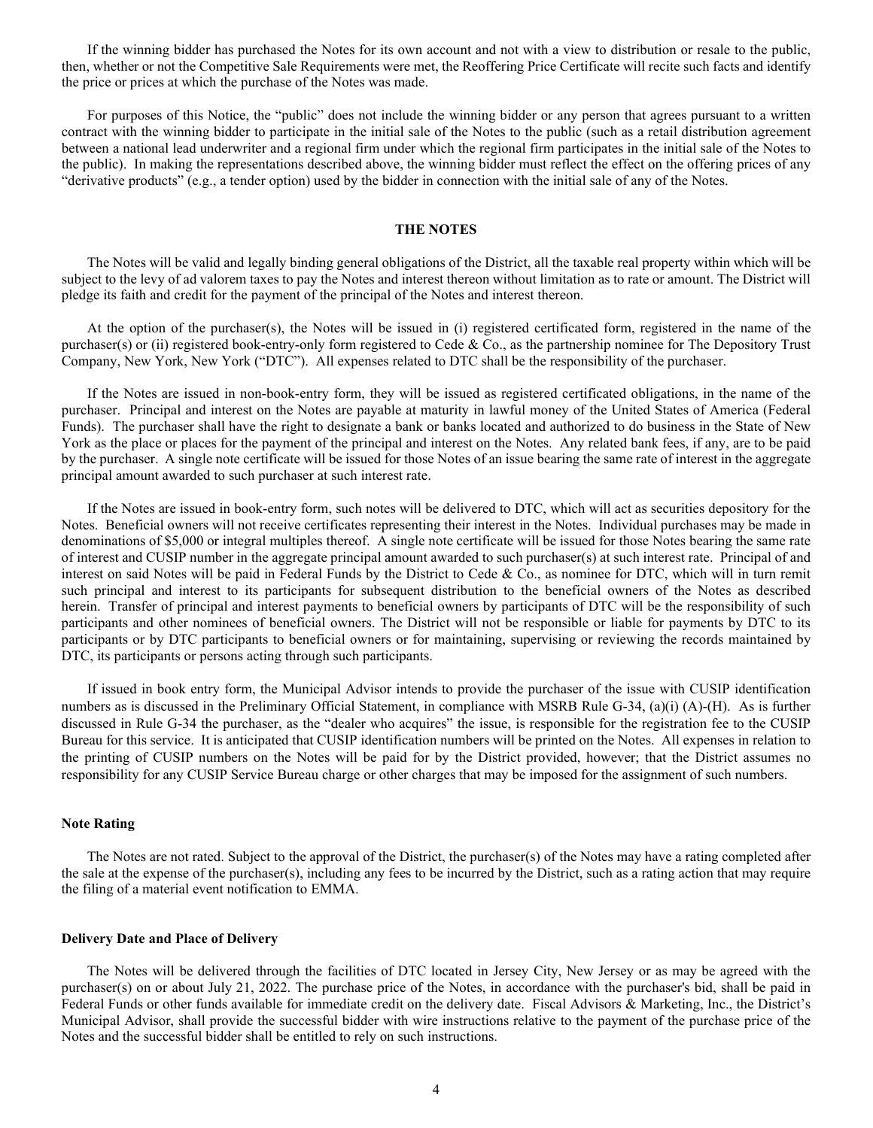If the winning bidder has purchased the Notes for its own account and not with a view to distribution or resale to the public, then, whether or not the Competitive Sale Requirements were met, the Reoffering Price Certificate will recite such facts and identify the price or prices at which the purchase of the Notes was made.

For purposes of this Notice, the "public" does not include the winning bidder or any person that agrees pursuant to a written contract with the winning bidder to participate in the initial sale of the Notes to the public (such as a retail distribution agreement between a national lead underwriter and a regional firm under which the regional firm participates in the initial sale of the Notes to the public). In making the representations described above, the winning bidder must reflect the effect on the offering prices of any "derivative products" (e.g., a tender option) used by the bidder in connection with the initial sale of any of the Notes.

### **THE NOTES**

The Notes will be valid and legally binding general obligations of the District, all the taxable real property within which will be subject to the levy of ad valorem taxes to pay the Notes and interest thereon without limitation as to rate or amount. The District will pledge its faith and credit for the payment of the principal of the Notes and interest thereon.

At the option of the purchaser(s), the Notes will be issued in (i) registered certificated form, registered in the name of the purchaser(s) or (ii) registered book-entry-only form registered to Cede & Co., as the partnership nominee for The Depository Trust Company, New York, New York ("DTC"). All expenses related to DTC shall be the responsibility of the purchaser.

If the Notes are issued in non-book-entry form, they will be issued as registered certificated obligations, in the name of the purchaser. Principal and interest on the Notes are payable at maturity in lawful money of the United States of America (Federal Funds). The purchaser shall have the right to designate a bank or banks located and authorized to do business in the State of New York as the place or places for the payment of the principal and interest on the Notes. Any related bank fees, if any, are to be paid by the purchaser. A single note certificate will be issued for those Notes of an issue bearing the same rate of interest in the aggregate principal amount awarded to such purchaser at such interest rate.

If the Notes are issued in book-entry form, such notes will be delivered to DTC, which will act as securities depository for the Notes. Beneficial owners will not receive certificates representing their interest in the Notes. Individual purchases may be made in denominations of \$5,000 or integral multiples thereof. A single note certificate will be issued for those Notes bearing the same rate of interest and CUSIP number in the aggregate principal amount awarded to such purchaser(s) at such interest rate. Principal of and interest on said Notes will be paid in Federal Funds by the District to Cede & Co., as nominee for DTC, which will in turn remit such principal and interest to its participants for subsequent distribution to the beneficial owners of the Notes as described herein. Transfer of principal and interest payments to beneficial owners by participants of DTC will be the responsibility of such participants and other nominees of beneficial owners. The District will not be responsible or liable for payments by DTC to its participants or by DTC participants to beneficial owners or for maintaining, supervising or reviewing the records maintained by DTC, its participants or persons acting through such participants.

If issued in book entry form, the Municipal Advisor intends to provide the purchaser of the issue with CUSIP identification numbers as is discussed in the Preliminary Official Statement, in compliance with MSRB Rule G-34, (a)(i) (A)-(H). As is further discussed in Rule G-34 the purchaser, as the "dealer who acquires" the issue, is responsible for the registration fee to the CUSIP Bureau for this service. It is anticipated that CUSIP identification numbers will be printed on the Notes. All expenses in relation to the printing of CUSIP numbers on the Notes will be paid for by the District provided, however; that the District assumes no responsibility for any CUSIP Service Bureau charge or other charges that may be imposed for the assignment of such numbers.

# **Note Rating**

The Notes are not rated. Subject to the approval of the District, the purchaser(s) of the Notes may have a rating completed after the sale at the expense of the purchaser(s), including any fees to be incurred by the District, such as a rating action that may require the filing of a material event notification to EMMA.

# **Delivery Date and Place of Delivery**

The Notes will be delivered through the facilities of DTC located in Jersey City, New Jersey or as may be agreed with the purchaser(s) on or about July 21, 2022. The purchase price of the Notes, in accordance with the purchaser's bid, shall be paid in Federal Funds or other funds available for immediate credit on the delivery date. Fiscal Advisors & Marketing, Inc., the District's Municipal Advisor, shall provide the successful bidder with wire instructions relative to the payment of the purchase price of the Notes and the successful bidder shall be entitled to rely on such instructions.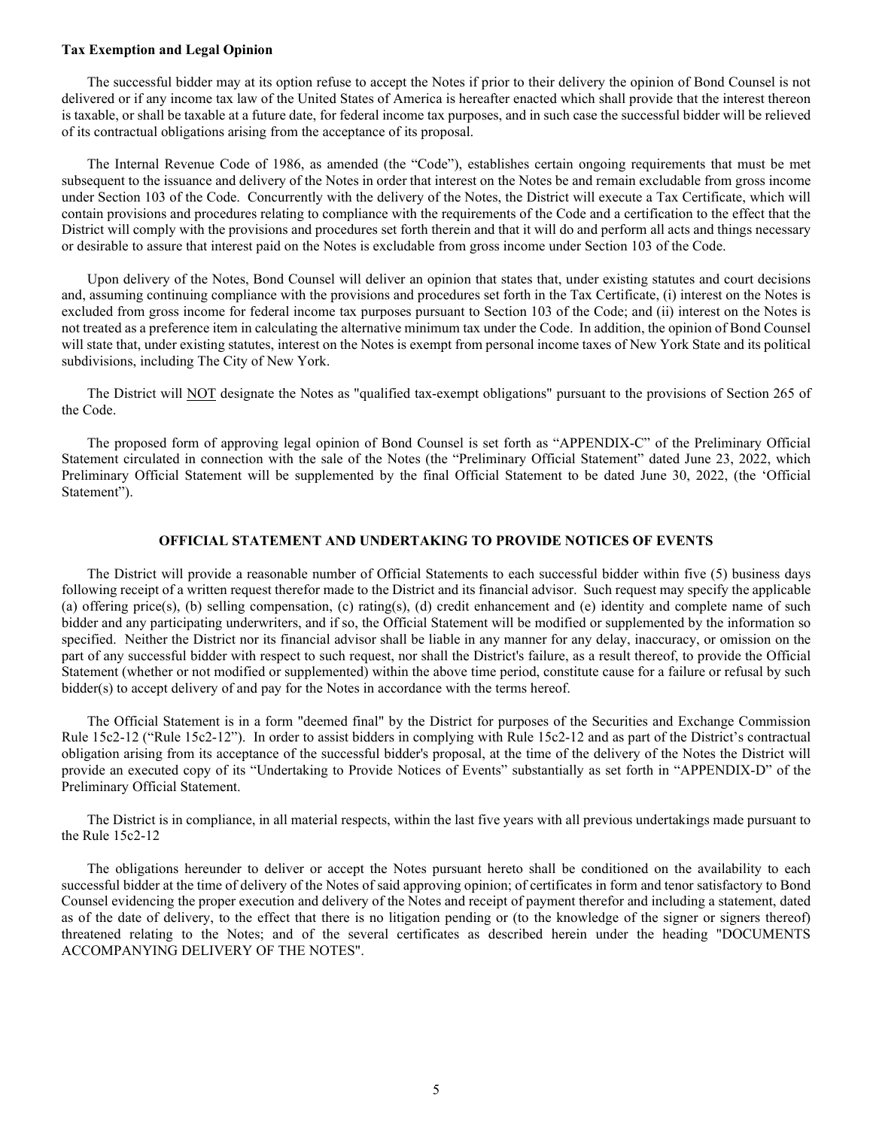## **Tax Exemption and Legal Opinion**

The successful bidder may at its option refuse to accept the Notes if prior to their delivery the opinion of Bond Counsel is not delivered or if any income tax law of the United States of America is hereafter enacted which shall provide that the interest thereon is taxable, or shall be taxable at a future date, for federal income tax purposes, and in such case the successful bidder will be relieved of its contractual obligations arising from the acceptance of its proposal.

The Internal Revenue Code of 1986, as amended (the "Code"), establishes certain ongoing requirements that must be met subsequent to the issuance and delivery of the Notes in order that interest on the Notes be and remain excludable from gross income under Section 103 of the Code. Concurrently with the delivery of the Notes, the District will execute a Tax Certificate, which will contain provisions and procedures relating to compliance with the requirements of the Code and a certification to the effect that the District will comply with the provisions and procedures set forth therein and that it will do and perform all acts and things necessary or desirable to assure that interest paid on the Notes is excludable from gross income under Section 103 of the Code.

Upon delivery of the Notes, Bond Counsel will deliver an opinion that states that, under existing statutes and court decisions and, assuming continuing compliance with the provisions and procedures set forth in the Tax Certificate, (i) interest on the Notes is excluded from gross income for federal income tax purposes pursuant to Section 103 of the Code; and (ii) interest on the Notes is not treated as a preference item in calculating the alternative minimum tax under the Code. In addition, the opinion of Bond Counsel will state that, under existing statutes, interest on the Notes is exempt from personal income taxes of New York State and its political subdivisions, including The City of New York.

The District will NOT designate the Notes as "qualified tax-exempt obligations" pursuant to the provisions of Section 265 of the Code.

The proposed form of approving legal opinion of Bond Counsel is set forth as "APPENDIX-C" of the Preliminary Official Statement circulated in connection with the sale of the Notes (the "Preliminary Official Statement" dated June 23, 2022, which Preliminary Official Statement will be supplemented by the final Official Statement to be dated June 30, 2022, (the 'Official Statement").

# **OFFICIAL STATEMENT AND UNDERTAKING TO PROVIDE NOTICES OF EVENTS**

The District will provide a reasonable number of Official Statements to each successful bidder within five (5) business days following receipt of a written request therefor made to the District and its financial advisor. Such request may specify the applicable (a) offering price(s), (b) selling compensation, (c) rating(s), (d) credit enhancement and (e) identity and complete name of such bidder and any participating underwriters, and if so, the Official Statement will be modified or supplemented by the information so specified. Neither the District nor its financial advisor shall be liable in any manner for any delay, inaccuracy, or omission on the part of any successful bidder with respect to such request, nor shall the District's failure, as a result thereof, to provide the Official Statement (whether or not modified or supplemented) within the above time period, constitute cause for a failure or refusal by such bidder(s) to accept delivery of and pay for the Notes in accordance with the terms hereof.

The Official Statement is in a form "deemed final" by the District for purposes of the Securities and Exchange Commission Rule 15c2-12 ("Rule 15c2-12"). In order to assist bidders in complying with Rule 15c2-12 and as part of the District's contractual obligation arising from its acceptance of the successful bidder's proposal, at the time of the delivery of the Notes the District will provide an executed copy of its "Undertaking to Provide Notices of Events" substantially as set forth in "APPENDIX-D" of the Preliminary Official Statement.

The District is in compliance, in all material respects, within the last five years with all previous undertakings made pursuant to the Rule 15c2-12

The obligations hereunder to deliver or accept the Notes pursuant hereto shall be conditioned on the availability to each successful bidder at the time of delivery of the Notes of said approving opinion; of certificates in form and tenor satisfactory to Bond Counsel evidencing the proper execution and delivery of the Notes and receipt of payment therefor and including a statement, dated as of the date of delivery, to the effect that there is no litigation pending or (to the knowledge of the signer or signers thereof) threatened relating to the Notes; and of the several certificates as described herein under the heading "DOCUMENTS ACCOMPANYING DELIVERY OF THE NOTES".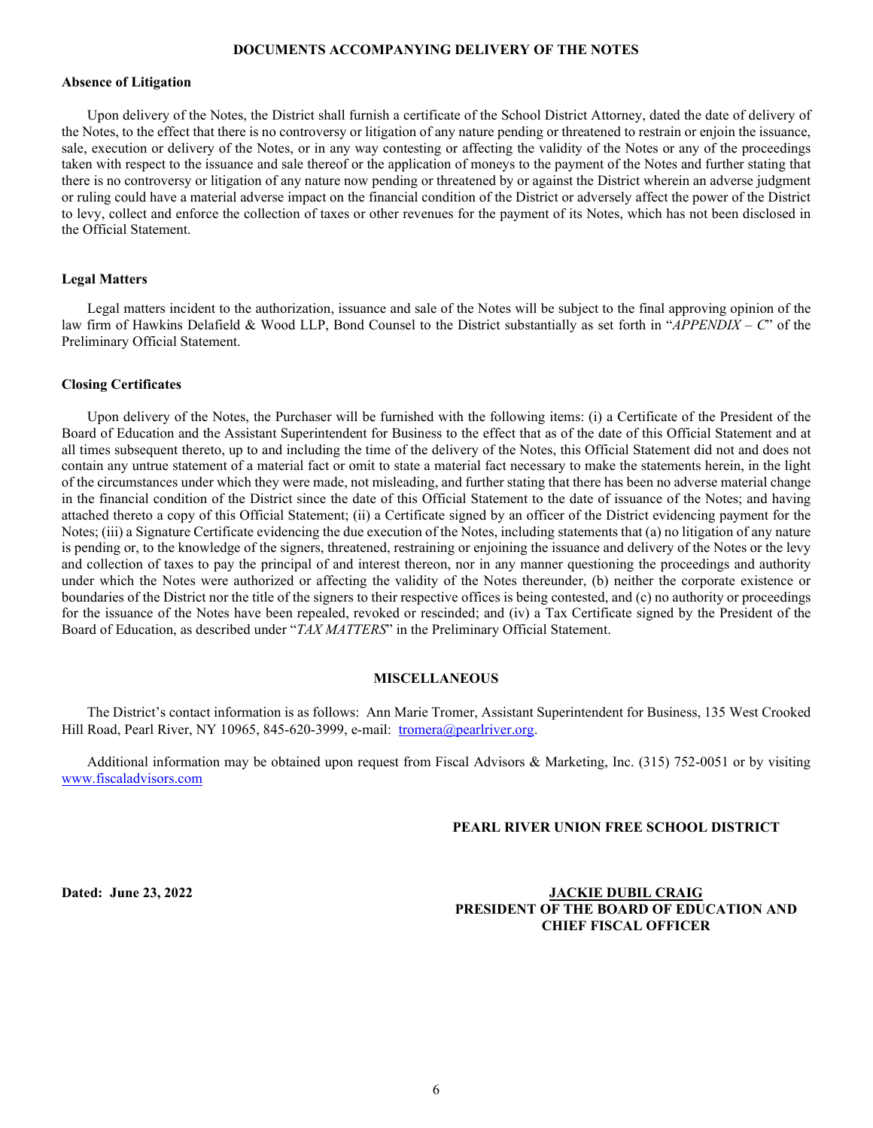# **DOCUMENTS ACCOMPANYING DELIVERY OF THE NOTES**

# **Absence of Litigation**

Upon delivery of the Notes, the District shall furnish a certificate of the School District Attorney, dated the date of delivery of the Notes, to the effect that there is no controversy or litigation of any nature pending or threatened to restrain or enjoin the issuance, sale, execution or delivery of the Notes, or in any way contesting or affecting the validity of the Notes or any of the proceedings taken with respect to the issuance and sale thereof or the application of moneys to the payment of the Notes and further stating that there is no controversy or litigation of any nature now pending or threatened by or against the District wherein an adverse judgment or ruling could have a material adverse impact on the financial condition of the District or adversely affect the power of the District to levy, collect and enforce the collection of taxes or other revenues for the payment of its Notes, which has not been disclosed in the Official Statement.

# **Legal Matters**

Legal matters incident to the authorization, issuance and sale of the Notes will be subject to the final approving opinion of the law firm of Hawkins Delafield & Wood LLP, Bond Counsel to the District substantially as set forth in "*APPENDIX – C*" of the Preliminary Official Statement.

# **Closing Certificates**

Upon delivery of the Notes, the Purchaser will be furnished with the following items: (i) a Certificate of the President of the Board of Education and the Assistant Superintendent for Business to the effect that as of the date of this Official Statement and at all times subsequent thereto, up to and including the time of the delivery of the Notes, this Official Statement did not and does not contain any untrue statement of a material fact or omit to state a material fact necessary to make the statements herein, in the light of the circumstances under which they were made, not misleading, and further stating that there has been no adverse material change in the financial condition of the District since the date of this Official Statement to the date of issuance of the Notes; and having attached thereto a copy of this Official Statement; (ii) a Certificate signed by an officer of the District evidencing payment for the Notes; (iii) a Signature Certificate evidencing the due execution of the Notes, including statements that (a) no litigation of any nature is pending or, to the knowledge of the signers, threatened, restraining or enjoining the issuance and delivery of the Notes or the levy and collection of taxes to pay the principal of and interest thereon, nor in any manner questioning the proceedings and authority under which the Notes were authorized or affecting the validity of the Notes thereunder, (b) neither the corporate existence or boundaries of the District nor the title of the signers to their respective offices is being contested, and (c) no authority or proceedings for the issuance of the Notes have been repealed, revoked or rescinded; and (iv) a Tax Certificate signed by the President of the Board of Education, as described under "*TAX MATTERS*" in the Preliminary Official Statement.

### **MISCELLANEOUS**

The District's contact information is as follows: Ann Marie Tromer, Assistant Superintendent for Business, 135 West Crooked Hill Road, Pearl River, NY 10965, 845-620-3999, e-mail: [tromera@pearlriver.org.](mailto:tromera@pearlriver.org)

Additional information may be obtained upon request from Fiscal Advisors & Marketing, Inc. (315) 752-0051 or by visiting [www.fiscaladvisors.com](http://www.fiscaladvisors.com/)

# **PEARL RIVER UNION FREE SCHOOL DISTRICT**

**Dated: June 23, 2022 JACKIE DUBIL CRAIG PRESIDENT OF THE BOARD OF EDUCATION AND CHIEF FISCAL OFFICER**